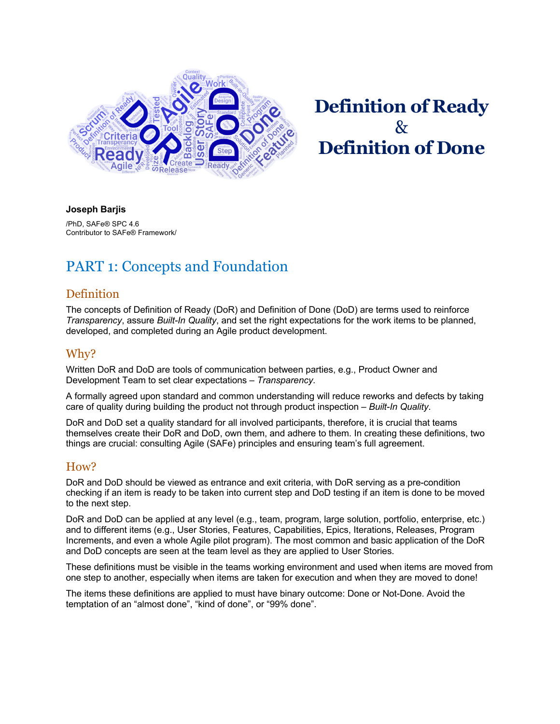

# **Definition of Ready**   $\mathcal{R}_{\mathcal{T}}$ **Definition of Done**

#### **Joseph Barjis**

/PhD, SAFe® SPC 4.6 Contributor to SAFe® Framework/

### PART 1: Concepts and Foundation

#### **Definition**

The concepts of Definition of Ready (DoR) and Definition of Done (DoD) are terms used to reinforce *Transparency*, assure *Built-In Quality*, and set the right expectations for the work items to be planned, developed, and completed during an Agile product development.

#### Why?

Written DoR and DoD are tools of communication between parties, e.g., Product Owner and Development Team to set clear expectations – *Transparency*.

A formally agreed upon standard and common understanding will reduce reworks and defects by taking care of quality during building the product not through product inspection – *Built-In Quality*.

DoR and DoD set a quality standard for all involved participants, therefore, it is crucial that teams themselves create their DoR and DoD, own them, and adhere to them. In creating these definitions, two things are crucial: consulting Agile (SAFe) principles and ensuring team's full agreement.

#### How?

DoR and DoD should be viewed as entrance and exit criteria, with DoR serving as a pre-condition checking if an item is ready to be taken into current step and DoD testing if an item is done to be moved to the next step.

DoR and DoD can be applied at any level (e.g., team, program, large solution, portfolio, enterprise, etc.) and to different items (e.g., User Stories, Features, Capabilities, Epics, Iterations, Releases, Program Increments, and even a whole Agile pilot program). The most common and basic application of the DoR and DoD concepts are seen at the team level as they are applied to User Stories.

These definitions must be visible in the teams working environment and used when items are moved from one step to another, especially when items are taken for execution and when they are moved to done!

The items these definitions are applied to must have binary outcome: Done or Not-Done. Avoid the temptation of an "almost done", "kind of done", or "99% done".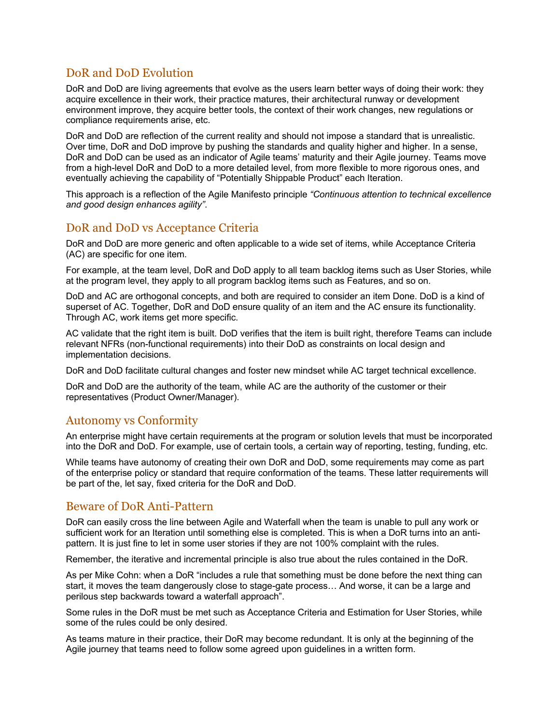### DoR and DoD Evolution

DoR and DoD are living agreements that evolve as the users learn better ways of doing their work: they acquire excellence in their work, their practice matures, their architectural runway or development environment improve, they acquire better tools, the context of their work changes, new regulations or compliance requirements arise, etc.

DoR and DoD are reflection of the current reality and should not impose a standard that is unrealistic. Over time, DoR and DoD improve by pushing the standards and quality higher and higher. In a sense, DoR and DoD can be used as an indicator of Agile teams' maturity and their Agile journey. Teams move from a high-level DoR and DoD to a more detailed level, from more flexible to more rigorous ones, and eventually achieving the capability of "Potentially Shippable Product" each Iteration.

This approach is a reflection of the Agile Manifesto principle *"Continuous attention to technical excellence and good design enhances agility"*.

#### DoR and DoD vs Acceptance Criteria

DoR and DoD are more generic and often applicable to a wide set of items, while Acceptance Criteria (AC) are specific for one item.

For example, at the team level, DoR and DoD apply to all team backlog items such as User Stories, while at the program level, they apply to all program backlog items such as Features, and so on.

DoD and AC are orthogonal concepts, and both are required to consider an item Done. DoD is a kind of superset of AC. Together, DoR and DoD ensure quality of an item and the AC ensure its functionality. Through AC, work items get more specific.

AC validate that the right item is built. DoD verifies that the item is built right, therefore Teams can include relevant NFRs (non-functional requirements) into their DoD as constraints on local design and implementation decisions.

DoR and DoD facilitate cultural changes and foster new mindset while AC target technical excellence.

DoR and DoD are the authority of the team, while AC are the authority of the customer or their representatives (Product Owner/Manager).

#### Autonomy vs Conformity

An enterprise might have certain requirements at the program or solution levels that must be incorporated into the DoR and DoD. For example, use of certain tools, a certain way of reporting, testing, funding, etc.

While teams have autonomy of creating their own DoR and DoD, some requirements may come as part of the enterprise policy or standard that require conformation of the teams. These latter requirements will be part of the, let say, fixed criteria for the DoR and DoD.

#### Beware of DoR Anti-Pattern

DoR can easily cross the line between Agile and Waterfall when the team is unable to pull any work or sufficient work for an Iteration until something else is completed. This is when a DoR turns into an antipattern. It is just fine to let in some user stories if they are not 100% complaint with the rules.

Remember, the iterative and incremental principle is also true about the rules contained in the DoR.

As per Mike Cohn: when a DoR "includes a rule that something must be done before the next thing can start, it moves the team dangerously close to stage-gate process… And worse, it can be a large and perilous step backwards toward a waterfall approach".

Some rules in the DoR must be met such as Acceptance Criteria and Estimation for User Stories, while some of the rules could be only desired.

As teams mature in their practice, their DoR may become redundant. It is only at the beginning of the Agile journey that teams need to follow some agreed upon guidelines in a written form.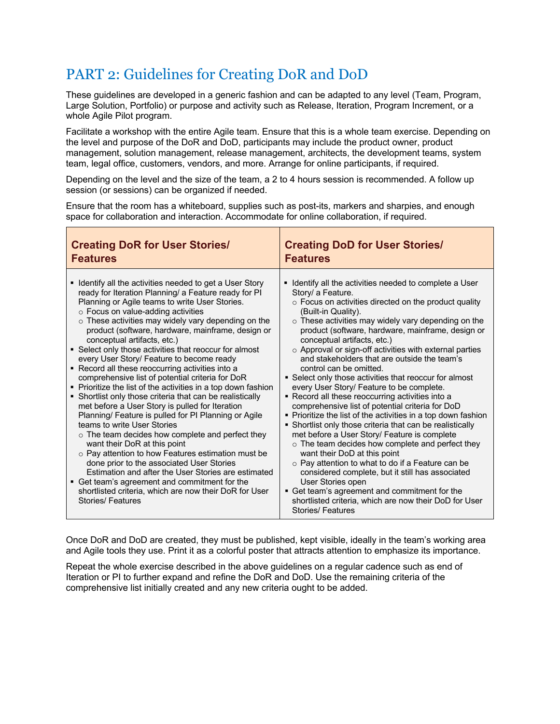### PART 2: Guidelines for Creating DoR and DoD

These guidelines are developed in a generic fashion and can be adapted to any level (Team, Program, Large Solution, Portfolio) or purpose and activity such as Release, Iteration, Program Increment, or a whole Agile Pilot program.

Facilitate a workshop with the entire Agile team. Ensure that this is a whole team exercise. Depending on the level and purpose of the DoR and DoD, participants may include the product owner, product management, solution management, release management, architects, the development teams, system team, legal office, customers, vendors, and more. Arrange for online participants, if required.

Depending on the level and the size of the team, a 2 to 4 hours session is recommended. A follow up session (or sessions) can be organized if needed.

Ensure that the room has a whiteboard, supplies such as post-its, markers and sharpies, and enough space for collaboration and interaction. Accommodate for online collaboration, if required.

| <b>Creating DoR for User Stories/</b>                                                                                                                                                                                                                                                                                                                                                                                                                                                                                                                                                                                                                                                                                                                                                                                                                                                                                                                                                                                                                                                                                                                                                                                                      | <b>Creating DoD for User Stories/</b>                                                                                                                                                                                                                                                                                                                                                                                                                                                                                                                                                                                                                                                                                                                                                                                                                                                                                                                                                                                                                                                                                                                                                                                      |  |
|--------------------------------------------------------------------------------------------------------------------------------------------------------------------------------------------------------------------------------------------------------------------------------------------------------------------------------------------------------------------------------------------------------------------------------------------------------------------------------------------------------------------------------------------------------------------------------------------------------------------------------------------------------------------------------------------------------------------------------------------------------------------------------------------------------------------------------------------------------------------------------------------------------------------------------------------------------------------------------------------------------------------------------------------------------------------------------------------------------------------------------------------------------------------------------------------------------------------------------------------|----------------------------------------------------------------------------------------------------------------------------------------------------------------------------------------------------------------------------------------------------------------------------------------------------------------------------------------------------------------------------------------------------------------------------------------------------------------------------------------------------------------------------------------------------------------------------------------------------------------------------------------------------------------------------------------------------------------------------------------------------------------------------------------------------------------------------------------------------------------------------------------------------------------------------------------------------------------------------------------------------------------------------------------------------------------------------------------------------------------------------------------------------------------------------------------------------------------------------|--|
| <b>Features</b>                                                                                                                                                                                                                                                                                                                                                                                                                                                                                                                                                                                                                                                                                                                                                                                                                                                                                                                                                                                                                                                                                                                                                                                                                            | <b>Features</b>                                                                                                                                                                                                                                                                                                                                                                                                                                                                                                                                                                                                                                                                                                                                                                                                                                                                                                                                                                                                                                                                                                                                                                                                            |  |
| • Identify all the activities needed to get a User Story<br>ready for Iteration Planning/ a Feature ready for PI<br>Planning or Agile teams to write User Stories.<br>o Focus on value-adding activities<br>$\circ$ These activities may widely vary depending on the<br>product (software, hardware, mainframe, design or<br>conceptual artifacts, etc.)<br>• Select only those activities that reoccur for almost<br>every User Story/ Feature to become ready<br>• Record all these reoccurring activities into a<br>comprehensive list of potential criteria for DoR<br>• Prioritize the list of the activities in a top down fashion<br>• Shortlist only those criteria that can be realistically<br>met before a User Story is pulled for Iteration<br>Planning/ Feature is pulled for PI Planning or Agile<br>teams to write User Stories<br>$\circ$ The team decides how complete and perfect they<br>want their DoR at this point<br>○ Pay attention to how Features estimation must be<br>done prior to the associated User Stories<br>Estimation and after the User Stories are estimated<br>• Get team's agreement and commitment for the<br>shortlisted criteria, which are now their DoR for User<br><b>Stories/Features</b> | • Identify all the activities needed to complete a User<br>Story/ a Feature.<br>$\circ$ Focus on activities directed on the product quality<br>(Built-in Quality).<br>$\circ$ These activities may widely vary depending on the<br>product (software, hardware, mainframe, design or<br>conceptual artifacts, etc.)<br>$\circ$ Approval or sign-off activities with external parties<br>and stakeholders that are outside the team's<br>control can be omitted.<br>• Select only those activities that reoccur for almost<br>every User Story/ Feature to be complete.<br>• Record all these reoccurring activities into a<br>comprehensive list of potential criteria for DoD<br>• Prioritize the list of the activities in a top down fashion<br>• Shortlist only those criteria that can be realistically<br>met before a User Story/ Feature is complete<br>o The team decides how complete and perfect they<br>want their DoD at this point<br>$\circ$ Pay attention to what to do if a Feature can be<br>considered complete, but it still has associated<br>User Stories open<br>• Get team's agreement and commitment for the<br>shortlisted criteria, which are now their DoD for User<br><b>Stories/Features</b> |  |

Once DoR and DoD are created, they must be published, kept visible, ideally in the team's working area and Agile tools they use. Print it as a colorful poster that attracts attention to emphasize its importance.

Repeat the whole exercise described in the above guidelines on a regular cadence such as end of Iteration or PI to further expand and refine the DoR and DoD. Use the remaining criteria of the comprehensive list initially created and any new criteria ought to be added.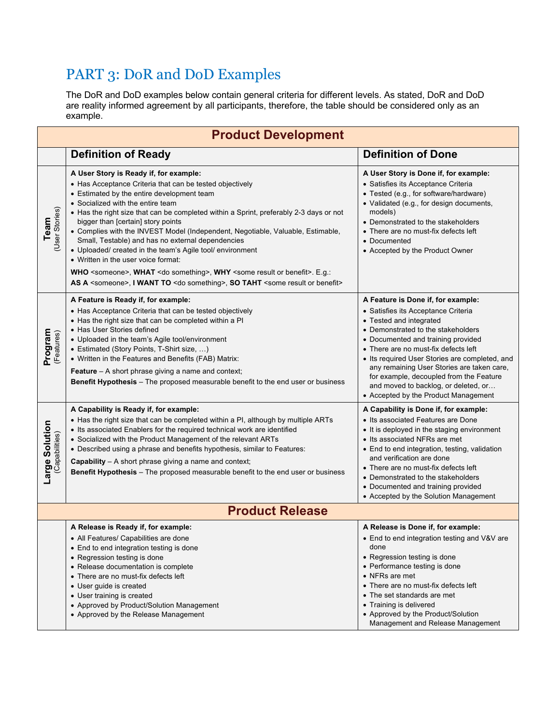## PART 3: DoR and DoD Examples

The DoR and DoD examples below contain general criteria for different levels. As stated, DoR and DoD are reality informed agreement by all participants, therefore, the table should be considered only as an example.

| <b>Product Development</b>       |                                                                                                                                                                                                                                                                                                                                                                                                                                                                                                                                                                                                                                                                                                                                                                                                 |                                                                                                                                                                                                                                                                                                                                                                                                                                                     |
|----------------------------------|-------------------------------------------------------------------------------------------------------------------------------------------------------------------------------------------------------------------------------------------------------------------------------------------------------------------------------------------------------------------------------------------------------------------------------------------------------------------------------------------------------------------------------------------------------------------------------------------------------------------------------------------------------------------------------------------------------------------------------------------------------------------------------------------------|-----------------------------------------------------------------------------------------------------------------------------------------------------------------------------------------------------------------------------------------------------------------------------------------------------------------------------------------------------------------------------------------------------------------------------------------------------|
|                                  | <b>Definition of Ready</b>                                                                                                                                                                                                                                                                                                                                                                                                                                                                                                                                                                                                                                                                                                                                                                      | <b>Definition of Done</b>                                                                                                                                                                                                                                                                                                                                                                                                                           |
| (User Stories)<br>Team           | A User Story is Ready if, for example:<br>• Has Acceptance Criteria that can be tested objectively<br>• Estimated by the entire development team<br>• Socialized with the entire team<br>• Has the right size that can be completed within a Sprint, preferably 2-3 days or not<br>bigger than [certain] story points<br>• Complies with the INVEST Model (Independent, Negotiable, Valuable, Estimable,<br>Small, Testable) and has no external dependencies<br>• Uploaded/ created in the team's Agile tool/ environment<br>• Written in the user voice format:<br>WHO <someone>, WHAT <do something="">, WHY <some benefit="" or="" result="">. E.g.:<br/>AS A <someone>, I WANT TO <do something="">, SO TAHT <some benefit="" or="" result=""></some></do></someone></some></do></someone> | A User Story is Done if, for example:<br>• Satisfies its Acceptance Criteria<br>• Tested (e.g., for software/hardware)<br>· Validated (e.g., for design documents,<br>models)<br>• Demonstrated to the stakeholders<br>• There are no must-fix defects left<br>• Documented<br>• Accepted by the Product Owner                                                                                                                                      |
| Program<br>(Features)            | A Feature is Ready if, for example:<br>• Has Acceptance Criteria that can be tested objectively<br>• Has the right size that can be completed within a PI<br>• Has User Stories defined<br>• Uploaded in the team's Agile tool/environment<br>• Estimated (Story Points, T-Shirt size, )<br>• Written in the Features and Benefits (FAB) Matrix:<br><b>Feature</b> - A short phrase giving a name and context;<br>Benefit Hypothesis - The proposed measurable benefit to the end user or business                                                                                                                                                                                                                                                                                              | A Feature is Done if, for example:<br>• Satisfies its Acceptance Criteria<br>• Tested and integrated<br>• Demonstrated to the stakeholders<br>• Documented and training provided<br>• There are no must-fix defects left<br>• Its required User Stories are completed, and<br>any remaining User Stories are taken care,<br>for example, decoupled from the Feature<br>and moved to backlog, or deleted, or<br>• Accepted by the Product Management |
| Large Solution<br>(Capabilities) | A Capability is Ready if, for example:<br>• Has the right size that can be completed within a PI, although by multiple ARTs<br>• Its associated Enablers for the required technical work are identified<br>• Socialized with the Product Management of the relevant ARTs<br>• Described using a phrase and benefits hypothesis, similar to Features:<br><b>Capability</b> – A short phrase giving a name and context;<br>Benefit Hypothesis - The proposed measurable benefit to the end user or business                                                                                                                                                                                                                                                                                       | A Capability is Done if, for example:<br>• Its associated Features are Done<br>• It is deployed in the staging environment<br>• Its associated NFRs are met<br>• End to end integration, testing, validation<br>and verification are done<br>• There are no must-fix defects left<br>• Demonstrated to the stakeholders<br>• Documented and training provided<br>• Accepted by the Solution Management                                              |
| <b>Product Release</b>           |                                                                                                                                                                                                                                                                                                                                                                                                                                                                                                                                                                                                                                                                                                                                                                                                 |                                                                                                                                                                                                                                                                                                                                                                                                                                                     |
|                                  | A Release is Ready if, for example:<br>• All Features/ Capabilities are done<br>• End to end integration testing is done<br>• Regression testing is done<br>• Release documentation is complete<br>• There are no must-fix defects left<br>• User guide is created<br>• User training is created<br>• Approved by Product/Solution Management<br>• Approved by the Release Management                                                                                                                                                                                                                                                                                                                                                                                                           | A Release is Done if, for example:<br>• End to end integration testing and V&V are<br>done<br>• Regression testing is done<br>• Performance testing is done<br>• NFRs are met<br>• There are no must-fix defects left<br>• The set standards are met<br>• Training is delivered<br>• Approved by the Product/Solution<br>Management and Release Management                                                                                          |